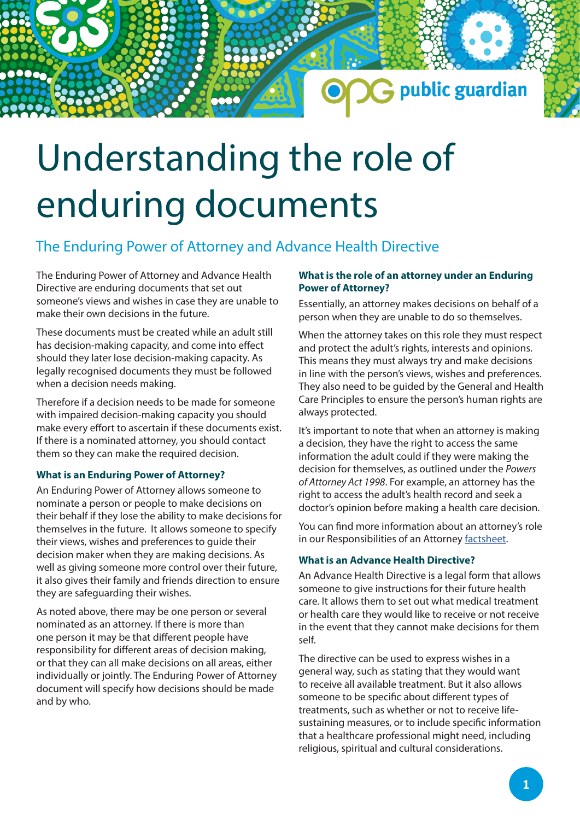# Understanding the role of enduring documents

## The Enduring Power of Attorney and Advance Health Directive

The Enduring Power of Attorney and Advance Health Directive are enduring documents that set out someone's views and wishes in case they are unable to make their own decisions in the future.

These documents must be created while an adult still has decision-making capacity, and come into effect should they later lose decision-making capacity. As legally recognised documents they must be followed when a decision needs making.

Therefore if a decision needs to be made for someone with impaired decision-making capacity you should make every effort to ascertain if these documents exist. If there is a nominated attorney, you should contact them so they can make the required decision.

#### **What is an Enduring Power of Attorney?**

An Enduring Power of Attorney allows someone to nominate a person or people to make decisions on their behalf if they lose the ability to make decisions for themselves in the future. It allows someone to specify their views, wishes and preferences to guide their decision maker when they are making decisions. As well as giving someone more control over their future, it also gives their family and friends direction to ensure they are safeguarding their wishes.

As noted above, there may be one person or several nominated as an attorney. If there is more than one person it may be that different people have responsibility for different areas of decision making, or that they can all make decisions on all areas, either individually or jointly. The Enduring Power of Attorney document will specify how decisions should be made and by who.

#### **What is the role of an attorney under an Enduring Power of Attorney?**

G public guardian

Essentially, an attorney makes decisions on behalf of a person when they are unable to do so themselves.

When the attorney takes on this role they must respect and protect the adult's rights, interests and opinions. This means they must always try and make decisions in line with the person's views, wishes and preferences. They also need to be guided by the General and Health Care Principles to ensure the person's human rights are always protected.

It's important to note that when an attorney is making a decision, they have the right to access the same information the adult could if they were making the decision for themselves, as outlined under the *Powers of Attorney Act 1998*. For example, an attorney has the right to access the adult's health record and seek a doctor's opinion before making a health care decision.

You can find more information about an attorney's role in our Responsibilities of an Attorney [factsheet.](https://www.publicguardian.qld.gov.au/__data/assets/pdf_file/0005/599153/Responsibilities-of-an-attorney-under-an-EPOA-online.pdf)

#### **What is an Advance Health Directive?**

An Advance Health Directive is a legal form that allows someone to give instructions for their future health care. It allows them to set out what medical treatment or health care they would like to receive or not receive in the event that they cannot make decisions for them self.

The directive can be used to express wishes in a general way, such as stating that they would want to receive all available treatment. But it also allows someone to be specific about different types of treatments, such as whether or not to receive lifesustaining measures, or to include specific information that a healthcare professional might need, including religious, spiritual and cultural considerations.